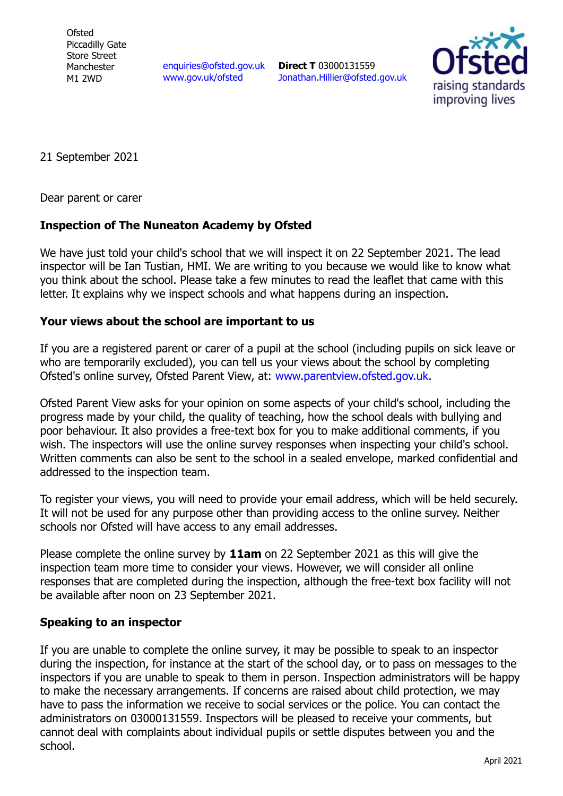**Ofsted** Piccadilly Gate Store Street Manchester M1 2WD

[enquiries@ofsted.gov.uk](mailto:enquiries@ofsted.gov.uk) [www.gov.uk/ofsted](http://www.gov.uk/ofsted)

**Direct T** 03000131559 [Jonathan.Hillier@ofsted.gov.uk](mailto:Jonathan.Hillier@ofsted.gov.uk)



21 September 2021

Dear parent or carer

## **Inspection of The Nuneaton Academy by Ofsted**

We have just told your child's school that we will inspect it on 22 September 2021. The lead inspector will be Ian Tustian, HMI. We are writing to you because we would like to know what you think about the school. Please take a few minutes to read the leaflet that came with this letter. It explains why we inspect schools and what happens during an inspection.

## **Your views about the school are important to us**

If you are a registered parent or carer of a pupil at the school (including pupils on sick leave or who are temporarily excluded), you can tell us your views about the school by completing Ofsted's online survey, Ofsted Parent View, at: [www.parentview.ofsted.gov.uk.](http://www.parentview.ofsted.gov.uk/)

Ofsted Parent View asks for your opinion on some aspects of your child's school, including the progress made by your child, the quality of teaching, how the school deals with bullying and poor behaviour. It also provides a free-text box for you to make additional comments, if you wish. The inspectors will use the online survey responses when inspecting your child's school. Written comments can also be sent to the school in a sealed envelope, marked confidential and addressed to the inspection team.

To register your views, you will need to provide your email address, which will be held securely. It will not be used for any purpose other than providing access to the online survey. Neither schools nor Ofsted will have access to any email addresses.

Please complete the online survey by **11am** on 22 September 2021 as this will give the inspection team more time to consider your views. However, we will consider all online responses that are completed during the inspection, although the free-text box facility will not be available after noon on 23 September 2021.

## **Speaking to an inspector**

If you are unable to complete the online survey, it may be possible to speak to an inspector during the inspection, for instance at the start of the school day, or to pass on messages to the inspectors if you are unable to speak to them in person. Inspection administrators will be happy to make the necessary arrangements. If concerns are raised about child protection, we may have to pass the information we receive to social services or the police. You can contact the administrators on 03000131559. Inspectors will be pleased to receive your comments, but cannot deal with complaints about individual pupils or settle disputes between you and the school.